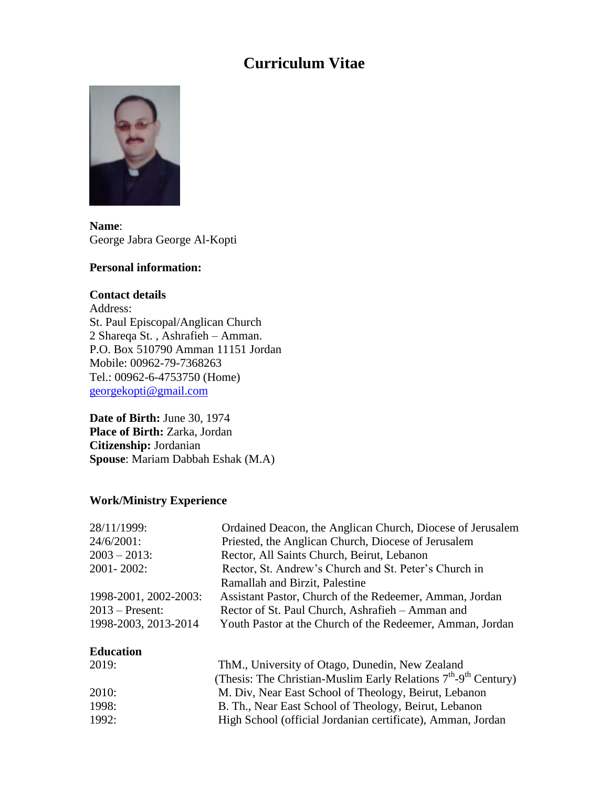# **Curriculum Vitae**



**Name**: George Jabra George Al-Kopti

## **Personal information:**

#### **Contact details**

Address: St. Paul Episcopal/Anglican Church 2 Shareqa St. , Ashrafieh – Amman. P.O. Box 510790 Amman 11151 Jordan Mobile: 00962-79-7368263 Tel.: 00962-6-4753750 (Home) [georgekopti@gmail.com](mailto:georgekopti@gmail.com)

**Date of Birth:** June 30, 1974 **Place of Birth:** Zarka, Jordan **Citizenship:** Jordanian **Spouse**: Mariam Dabbah Eshak (M.A)

## **Work/Ministry Experience**

| 28/11/1999:           | Ordained Deacon, the Anglican Church, Diocese of Jerusalem       |
|-----------------------|------------------------------------------------------------------|
| 24/6/2001:            | Priested, the Anglican Church, Diocese of Jerusalem              |
| $2003 - 2013$ :       | Rector, All Saints Church, Beirut, Lebanon                       |
| 2001-2002:            | Rector, St. Andrew's Church and St. Peter's Church in            |
|                       | Ramallah and Birzit, Palestine                                   |
| 1998-2001, 2002-2003: | Assistant Pastor, Church of the Redeemer, Amman, Jordan          |
| $2013$ – Present:     | Rector of St. Paul Church, Ashrafieh - Amman and                 |
| 1998-2003, 2013-2014  | Youth Pastor at the Church of the Redeemer, Amman, Jordan        |
| <b>Education</b>      |                                                                  |
| 2019:                 | ThM., University of Otago, Dunedin, New Zealand                  |
|                       | (Thesis: The Christian-Muslim Early Relations $7th-9th$ Century) |
| 2010:                 | M. Div, Near East School of Theology, Beirut, Lebanon            |
| 1998:                 | B. Th., Near East School of Theology, Beirut, Lebanon            |

1992: High School (official Jordanian certificate), Amman, Jordan